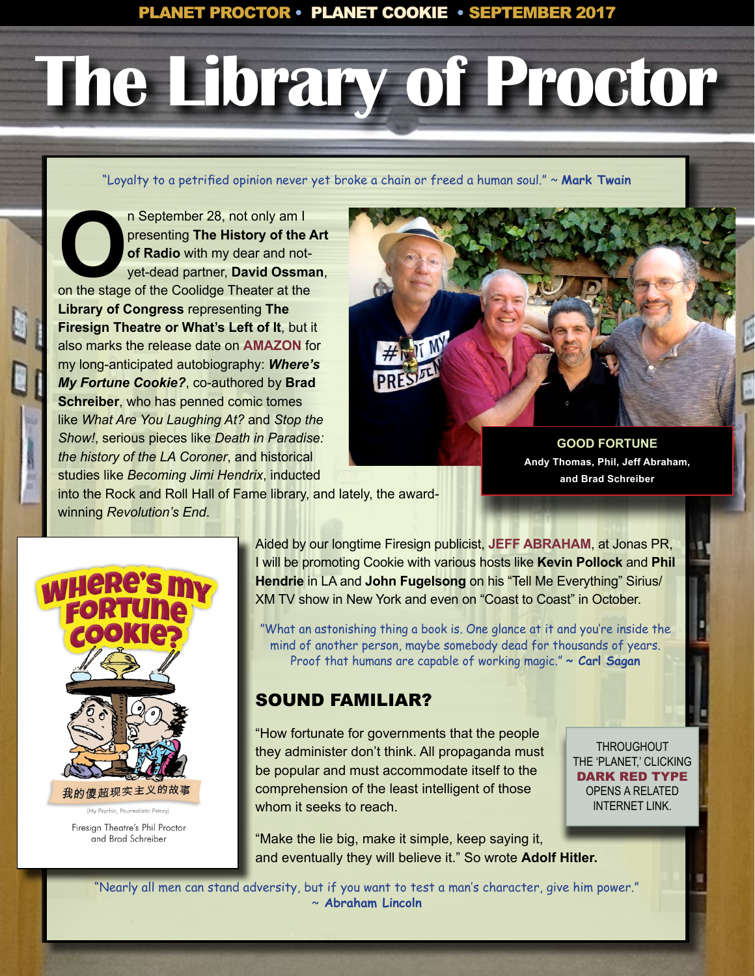# **The Library of Proctor**

"Loyalty to a petrified opinion never yet broke a chain or freed a human soul." ~ **Mark Twain**

**OPEN SEPTEMBER 28, not only am I**<br>
or Radio with my dear and not-<br>
yet-dead partner, **David Ossma**<br>
on the stage of the Coolidge Theater at the presenting **The History of the Art of Radio** with my dear and notyet-dead partner, **David Ossman**, **Library of Congress** representing **The Firesign Theatre or What's Left of It**, but it also marks the release date on **[AMAZON](https://www.amazon.com/Wheres-Fortune-Cookie-Phil-Proctor/dp/138970503X/ref=sr_1_1?s=books&ie=UTF8&qid=1506372238&sr=1-1&keywords=phil+proctor)** for my long-anticipated autobiography: *Where's My Fortune Cookie?*, co-authored by **Brad Schreiber**, who has penned comic tomes like *What Are You Laughing At?* and *Stop the Show!*, serious pieces like *Death in Paradise: the history of the LA Coroner*, and historical studies like *Becoming Jimi Hendrix*, inducted



**GOOD FORTUNE Andy Thomas, Phil, Jeff Abraham, and Brad Schreiber**

into the Rock and Roll Hall of Fame library, and lately, the awardwinning *Revolution's End*.



Firesign Theatre's Phil Proctor and Brad Schreiber

Aided by our longtime Firesign publicist, **[JEFF ABRAHAM](mailto:jeff%40jonaspr.com?subject=PHIL%20PROCTOR)**, at Jonas PR, I will be promoting Cookie with various hosts like **Kevin Pollock** and **Phil Hendrie** in LA and **John Fugelsong** on his "Tell Me Everything" Sirius/ XM TV show in New York and even on "Coast to Coast" in October.

"What an astonishing thing a book is. One glance at it and you're inside the mind of another person, maybe somebody dead for thousands of years. Proof that humans are capable of working magic." **~ Carl Sagan**

## SOUND FAMILIAR?

"How fortunate for governments that the people they administer don't think. All propaganda must be popular and must accommodate itself to the comprehension of the least intelligent of those whom it seeks to reach.

**THROUGHOUT** THE 'PLANET,' CLICKING DARK RED TYPE OPENS A RELATED INTERNET LINK.

"Make the lie big, make it simple, keep saying it, and eventually they will believe it." So wrote **Adolf Hitler.**

"Nearly all men can stand adversity, but if you want to test a man's character, give him power." ~ **Abraham Lincoln**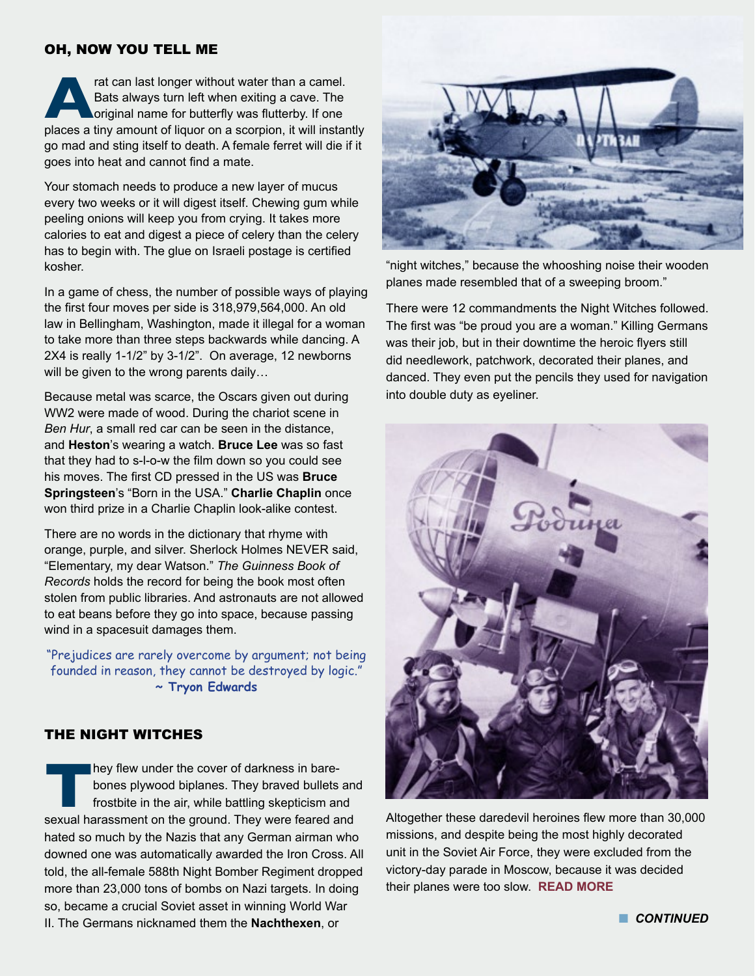#### OH, NOW YOU TELL ME

**Arat can last longer without water than a camel.**<br>
Bats always turn left when exiting a cave. The<br>
original name for butterfly was flutterby. If one<br>
places a tiny amount of liquor on a scorpion, it will instantly Bats always turn left when exiting a cave. The original name for butterfly was flutterby. If one go mad and sting itself to death. A female ferret will die if it goes into heat and cannot find a mate.

Your stomach needs to produce a new layer of mucus every two weeks or it will digest itself. Chewing gum while peeling onions will keep you from crying. It takes more calories to eat and digest a piece of celery than the celery has to begin with. The glue on Israeli postage is certified kosher.

In a game of chess, the number of possible ways of playing the first four moves per side is 318,979,564,000. An old law in Bellingham, Washington, made it illegal for a woman to take more than three steps backwards while dancing. A 2X4 is really 1-1/2" by 3-1/2". On average, 12 newborns will be given to the wrong parents daily…

Because metal was scarce, the Oscars given out during WW2 were made of wood. During the chariot scene in *Ben Hur*, a small red car can be seen in the distance, and **Heston**'s wearing a watch. **Bruce Lee** was so fast that they had to s-l-o-w the film down so you could see his moves. The first CD pressed in the US was **Bruce Springsteen**'s "Born in the USA." **Charlie Chaplin** once won third prize in a Charlie Chaplin look-alike contest.

There are no words in the dictionary that rhyme with orange, purple, and silver. Sherlock Holmes NEVER said, "Elementary, my dear Watson." *The Guinness Book of Records* holds the record for being the book most often stolen from public libraries. And astronauts are not allowed to eat beans before they go into space, because passing wind in a spacesuit damages them.

"Prejudices are rarely overcome by argument; not being founded in reason, they cannot be destroyed by logic." **~ Tryon Edwards**

#### THE NIGHT WITCHES

**They flew under the cover of darkness in bare-<br>bones plywood biplanes. They braved bullets<br>frostbite in the air, while battling skepticism are<br>sexual harassment on the ground. They were feared a** bones plywood biplanes. They braved bullets and frostbite in the air, while battling skepticism and sexual harassment on the ground. They were feared and hated so much by the Nazis that any German airman who downed one was automatically awarded the Iron Cross. All told, the all-female 588th Night Bomber Regiment dropped more than 23,000 tons of bombs on Nazi targets. In doing so, became a crucial Soviet asset in winning World War II. The Germans nicknamed them the **Nachthexen**, or



"night witches," because the whooshing noise their wooden planes made resembled that of a sweeping broom."

There were 12 commandments the Night Witches followed. The first was "be proud you are a woman." Killing Germans was their job, but in their downtime the heroic flyers still did needlework, patchwork, decorated their planes, and danced. They even put the pencils they used for navigation into double duty as eyeliner.



Altogether these daredevil heroines flew more than 30,000 missions, and despite being the most highly decorated unit in the Soviet Air Force, they were excluded from the victory-day parade in Moscow, because it was decided their planes were too slow. **[READ MORE](http://www.history.com/news/meet-the-night-witches-the-daring-female-pilots-who-bombed-nazis-by-night)**

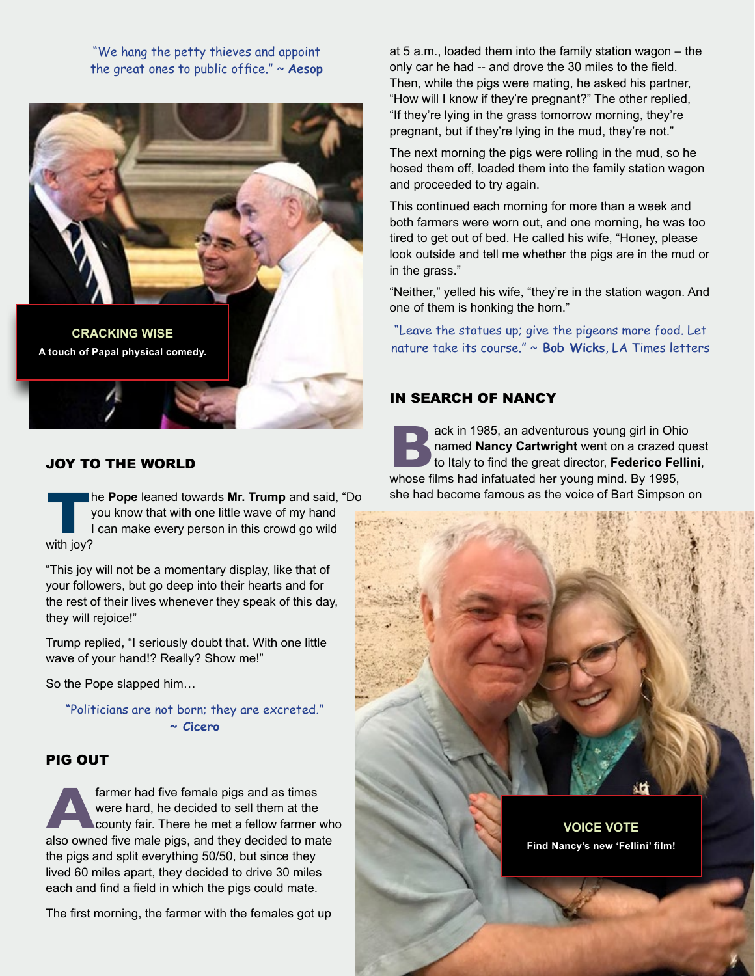"We hang the petty thieves and appoint the great ones to public office." ~ **Aesop**



#### JOY TO THE WORLD

**The Pope** leaned towards **Mr. Trump** and said, "Do you know that with one little wave of my hand I can make every person in this crowd go wild with lov? you know that with one little wave of my hand I can make every person in this crowd go wild with joy?

"This joy will not be a momentary display, like that of your followers, but go deep into their hearts and for the rest of their lives whenever they speak of this day, they will rejoice!"

Trump replied, "I seriously doubt that. With one little wave of your hand!? Really? Show me!"

So the Pope slapped him…

"Politicians are not born; they are excreted." **~ Cicero**

#### PIG OUT

farmer had five female pigs and as times were hard, he decided to sell them at the county fair. There he met a fellow farmer whalso owned five male pigs, and they decided to mate were hard, he decided to sell them at the county fair. There he met a fellow farmer who the pigs and split everything 50/50, but since they lived 60 miles apart, they decided to drive 30 miles each and find a field in which the pigs could mate.

The first morning, the farmer with the females got up

at 5 a.m., loaded them into the family station wagon – the only car he had -- and drove the 30 miles to the field. Then, while the pigs were mating, he asked his partner, "How will I know if they're pregnant?" The other replied, "If they're lying in the grass tomorrow morning, they're pregnant, but if they're lying in the mud, they're not."

The next morning the pigs were rolling in the mud, so he hosed them off, loaded them into the family station wagon and proceeded to try again.

This continued each morning for more than a week and both farmers were worn out, and one morning, he was too tired to get out of bed. He called his wife, "Honey, please look outside and tell me whether the pigs are in the mud or in the grass."

"Neither," yelled his wife, "they're in the station wagon. And one of them is honking the horn."

"Leave the statues up; give the pigeons more food. Let nature take its course." ~ **Bob Wicks**, LA Times letters

#### IN SEARCH OF NANCY

ack in 1985, an adventurous young girl in Ohio<br>
named **Nancy Cartwright** went on a crazed que<br>
to Italy to find the great director, **Federico Felli**<br>
whose films had infatuated her voung mind. By 1995. named **Nancy Cartwright** went on a crazed quest to Italy to find the great director, **Federico Fellini**, whose films had infatuated her young mind. By 1995, she had become famous as the voice of Bart Simpson on

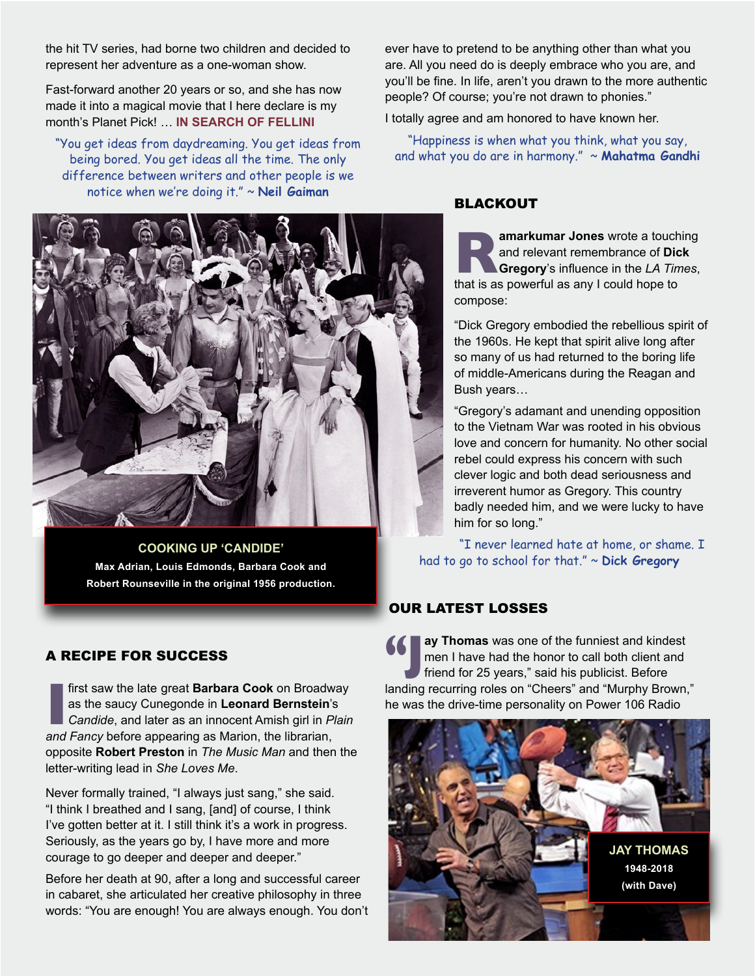the hit TV series, had borne two children and decided to represent her adventure as a one-woman show.

Fast-forward another 20 years or so, and she has now made it into a magical movie that I here declare is my month's Planet Pick! … **[IN SEARCH OF FELLINI](http://www.insearchoffellini.com)**

"You get ideas from daydreaming. You get ideas from being bored. You get ideas all the time. The only difference between writers and other people is we notice when we're doing it." ~ **Neil Gaiman** 

**COOKING UP 'CANDIDE' Max Adrian, Louis Edmonds, Barbara Cook and Robert Rounseville in the original 1956 production.**

#### A RECIPE FOR SUCCESS

**II** first saw the late great **Barbara Cook** on Broadw as the saucy Cunegonde in **Leonard Bernstein**'s Candide, and later as an innocent Amish girl in *P*, and Fancy before appearing as Marion, the librarian, first saw the late great **Barbara Cook** on Broadway as the saucy Cunegonde in **Leonard Bernstein**'s *Candide*, and later as an innocent Amish girl in *Plain*  opposite **Robert Preston** in *The Music Man* and then the letter-writing lead in *She Loves Me*.

Never formally trained, "I always just sang," she said. "I think I breathed and I sang, [and] of course, I think I've gotten better at it. I still think it's a work in progress. Seriously, as the years go by, I have more and more courage to go deeper and deeper and deeper."

Before her death at 90, after a long and successful career in cabaret, she articulated her creative philosophy in three words: "You are enough! You are always enough. You don't ever have to pretend to be anything other than what you are. All you need do is deeply embrace who you are, and you'll be fine. In life, aren't you drawn to the more authentic people? Of course; you're not drawn to phonies."

I totally agree and am honored to have known her.

"Happiness is when what you think, what you say, and what you do are in harmony." ~ **Mahatma Gandhi**

#### BLACKOUT

**Ramarkumar Jones** wrote a touching<br>
and relevant remembrance of Dick<br> **Gregory's** influence in the *LA Times*,<br>
that is as powerful as any I could hope to and relevant remembrance of **Dick Gregory**'s influence in the *LA Times*, compose:

"Dick Gregory embodied the rebellious spirit of the 1960s. He kept that spirit alive long after so many of us had returned to the boring life of middle-Americans during the Reagan and Bush years…

"Gregory's adamant and unending opposition to the Vietnam War was rooted in his obvious love and concern for humanity. No other social rebel could express his concern with such clever logic and both dead seriousness and irreverent humor as Gregory. This country badly needed him, and we were lucky to have him for so long."

"I never learned hate at home, or shame. I had to go to school for that." ~ **Dick Gregory** 

### OUR LATEST LOSSES

**"J ay Thomas** was one of the funniest and kindest men I have had the honor to call both client and friend for 25 years," said his publicist. Before landing recurring roles on "Cheers" and "Murphy Brown," he was the drive-time personality on Power 106 Radio